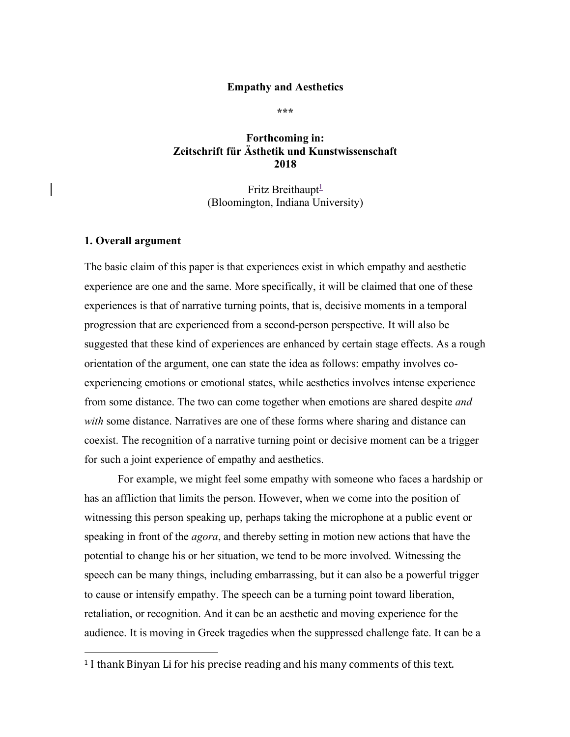## **Empathy and Aesthetics**

**\*\*\***

## **Forthcoming in: Zeitschrift für Ästhetik und Kunstwissenschaft 2018**

Fritz Breithaupt $\frac{1}{2}$ (Bloomington, Indiana University)

#### **1. Overall argument**

 

The basic claim of this paper is that experiences exist in which empathy and aesthetic experience are one and the same. More specifically, it will be claimed that one of these experiences is that of narrative turning points, that is, decisive moments in a temporal progression that are experienced from a second-person perspective. It will also be suggested that these kind of experiences are enhanced by certain stage effects. As a rough orientation of the argument, one can state the idea as follows: empathy involves coexperiencing emotions or emotional states, while aesthetics involves intense experience from some distance. The two can come together when emotions are shared despite *and with* some distance. Narratives are one of these forms where sharing and distance can coexist. The recognition of a narrative turning point or decisive moment can be a trigger for such a joint experience of empathy and aesthetics.

For example, we might feel some empathy with someone who faces a hardship or has an affliction that limits the person. However, when we come into the position of witnessing this person speaking up, perhaps taking the microphone at a public event or speaking in front of the *agora*, and thereby setting in motion new actions that have the potential to change his or her situation, we tend to be more involved. Witnessing the speech can be many things, including embarrassing, but it can also be a powerful trigger to cause or intensify empathy. The speech can be a turning point toward liberation, retaliation, or recognition. And it can be an aesthetic and moving experience for the audience. It is moving in Greek tragedies when the suppressed challenge fate. It can be a

 $1$  I thank Binyan Li for his precise reading and his many comments of this text.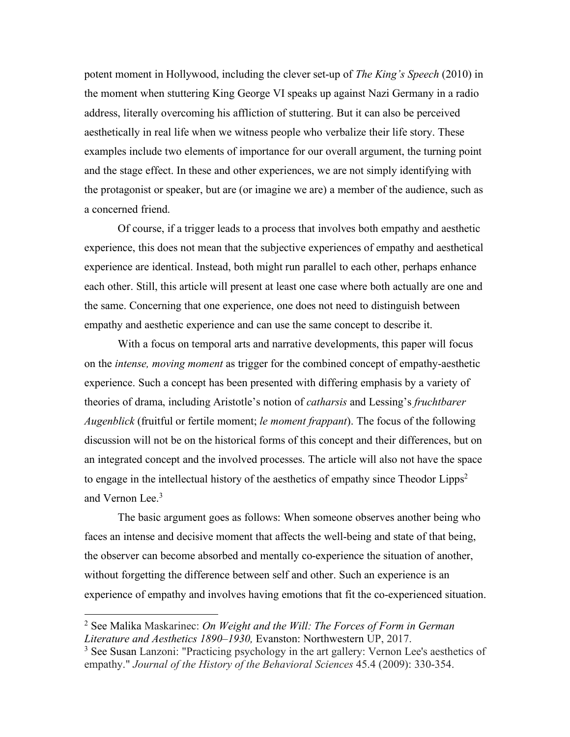potent moment in Hollywood, including the clever set-up of *The King's Speech* (2010) in the moment when stuttering King George VI speaks up against Nazi Germany in a radio address, literally overcoming his affliction of stuttering. But it can also be perceived aesthetically in real life when we witness people who verbalize their life story. These examples include two elements of importance for our overall argument, the turning point and the stage effect. In these and other experiences, we are not simply identifying with the protagonist or speaker, but are (or imagine we are) a member of the audience, such as a concerned friend.

Of course, if a trigger leads to a process that involves both empathy and aesthetic experience, this does not mean that the subjective experiences of empathy and aesthetical experience are identical. Instead, both might run parallel to each other, perhaps enhance each other. Still, this article will present at least one case where both actually are one and the same. Concerning that one experience, one does not need to distinguish between empathy and aesthetic experience and can use the same concept to describe it.

With a focus on temporal arts and narrative developments, this paper will focus on the *intense, moving moment* as trigger for the combined concept of empathy-aesthetic experience. Such a concept has been presented with differing emphasis by a variety of theories of drama, including Aristotle's notion of *catharsis* and Lessing's *fruchtbarer Augenblick* (fruitful or fertile moment; *le moment frappant*). The focus of the following discussion will not be on the historical forms of this concept and their differences, but on an integrated concept and the involved processes. The article will also not have the space to engage in the intellectual history of the aesthetics of empathy since Theodor Lipps<sup>2</sup> and Vernon Lee.3

The basic argument goes as follows: When someone observes another being who faces an intense and decisive moment that affects the well-being and state of that being, the observer can become absorbed and mentally co-experience the situation of another, without forgetting the difference between self and other. Such an experience is an experience of empathy and involves having emotions that fit the co-experienced situation.

<sup>2</sup> See Malika Maskarinec: *On Weight and the Will: The Forces of Form in German Literature and Aesthetics 1890–1930,* Evanston: Northwestern UP, 2017.

<sup>3</sup> See Susan Lanzoni: "Practicing psychology in the art gallery: Vernon Lee's aesthetics of empathy." *Journal of the History of the Behavioral Sciences* 45.4 (2009): 330-354.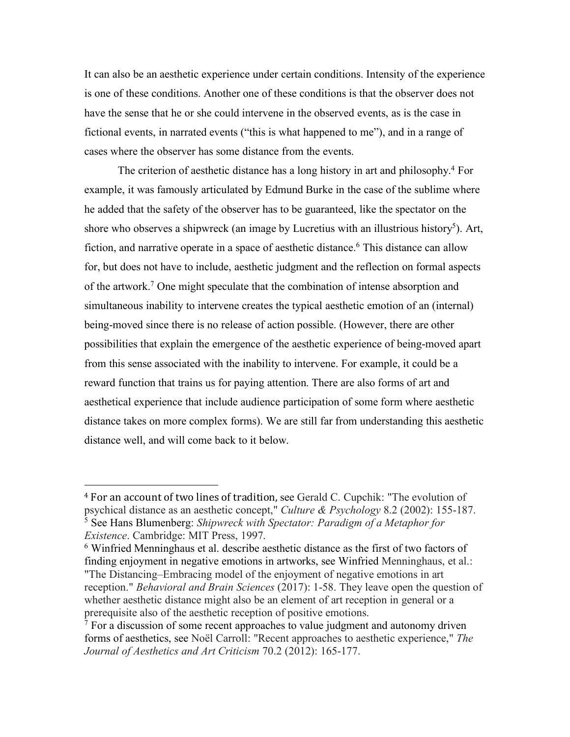It can also be an aesthetic experience under certain conditions. Intensity of the experience is one of these conditions. Another one of these conditions is that the observer does not have the sense that he or she could intervene in the observed events, as is the case in fictional events, in narrated events ("this is what happened to me"), and in a range of cases where the observer has some distance from the events.

The criterion of aesthetic distance has a long history in art and philosophy.4 For example, it was famously articulated by Edmund Burke in the case of the sublime where he added that the safety of the observer has to be guaranteed, like the spectator on the shore who observes a shipwreck (an image by Lucretius with an illustrious history<sup>5</sup>). Art, fiction, and narrative operate in a space of aesthetic distance.<sup>6</sup> This distance can allow for, but does not have to include, aesthetic judgment and the reflection on formal aspects of the artwork.7 One might speculate that the combination of intense absorption and simultaneous inability to intervene creates the typical aesthetic emotion of an (internal) being-moved since there is no release of action possible. (However, there are other possibilities that explain the emergence of the aesthetic experience of being-moved apart from this sense associated with the inability to intervene. For example, it could be a reward function that trains us for paying attention. There are also forms of art and aesthetical experience that include audience participation of some form where aesthetic distance takes on more complex forms). We are still far from understanding this aesthetic distance well, and will come back to it below.

<sup>&</sup>lt;sup>4</sup> For an account of two lines of tradition, see Gerald C. Cupchik: "The evolution of psychical distance as an aesthetic concept," *Culture & Psychology* 8.2 (2002): 155-187. <sup>5</sup> See Hans Blumenberg: *Shipwreck with Spectator: Paradigm of a Metaphor for Existence*. Cambridge: MIT Press, 1997.

<sup>6</sup> Winfried Menninghaus et al. describe aesthetic distance as the first of two factors of finding enjoyment in negative emotions in artworks, see Winfried Menninghaus, et al.: "The Distancing–Embracing model of the enjoyment of negative emotions in art reception." *Behavioral and Brain Sciences* (2017): 1-58. They leave open the question of whether aesthetic distance might also be an element of art reception in general or a prerequisite also of the aesthetic reception of positive emotions.

 $<sup>7</sup>$  For a discussion of some recent approaches to value judgment and autonomy driven</sup> forms of aesthetics, see Noël Carroll: "Recent approaches to aesthetic experience," *The Journal of Aesthetics and Art Criticism* 70.2 (2012): 165-177.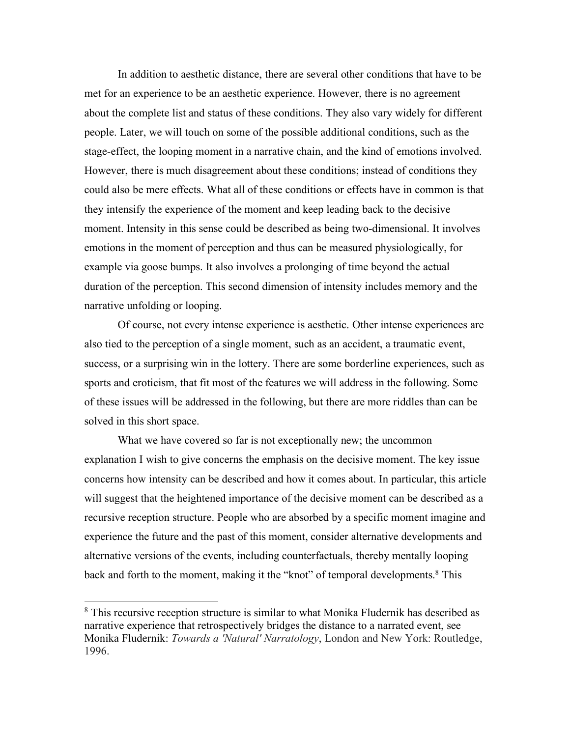In addition to aesthetic distance, there are several other conditions that have to be met for an experience to be an aesthetic experience. However, there is no agreement about the complete list and status of these conditions. They also vary widely for different people. Later, we will touch on some of the possible additional conditions, such as the stage-effect, the looping moment in a narrative chain, and the kind of emotions involved. However, there is much disagreement about these conditions; instead of conditions they could also be mere effects. What all of these conditions or effects have in common is that they intensify the experience of the moment and keep leading back to the decisive moment. Intensity in this sense could be described as being two-dimensional. It involves emotions in the moment of perception and thus can be measured physiologically, for example via goose bumps. It also involves a prolonging of time beyond the actual duration of the perception. This second dimension of intensity includes memory and the narrative unfolding or looping.

Of course, not every intense experience is aesthetic. Other intense experiences are also tied to the perception of a single moment, such as an accident, a traumatic event, success, or a surprising win in the lottery. There are some borderline experiences, such as sports and eroticism, that fit most of the features we will address in the following. Some of these issues will be addressed in the following, but there are more riddles than can be solved in this short space.

What we have covered so far is not exceptionally new; the uncommon explanation I wish to give concerns the emphasis on the decisive moment. The key issue concerns how intensity can be described and how it comes about. In particular, this article will suggest that the heightened importance of the decisive moment can be described as a recursive reception structure. People who are absorbed by a specific moment imagine and experience the future and the past of this moment, consider alternative developments and alternative versions of the events, including counterfactuals, thereby mentally looping back and forth to the moment, making it the "knot" of temporal developments.<sup>8</sup> This

<sup>&</sup>lt;sup>8</sup> This recursive reception structure is similar to what Monika Fludernik has described as narrative experience that retrospectively bridges the distance to a narrated event, see Monika Fludernik: *Towards a 'Natural' Narratology*, London and New York: Routledge, 1996.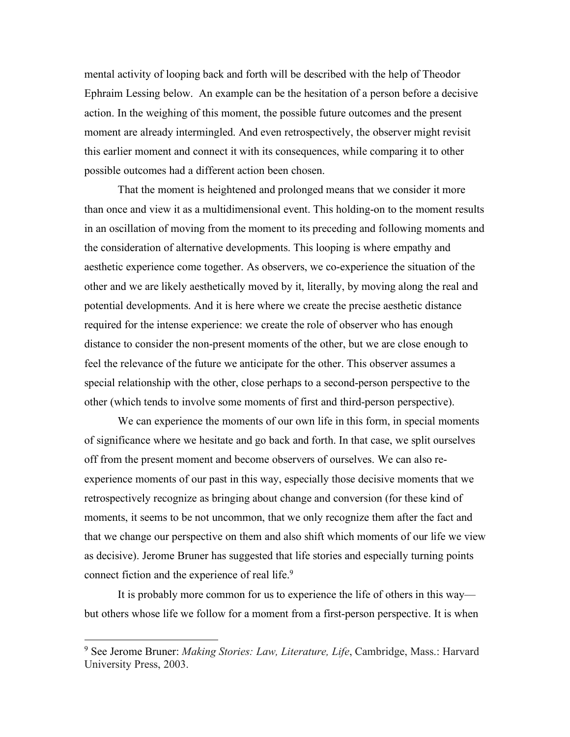mental activity of looping back and forth will be described with the help of Theodor Ephraim Lessing below. An example can be the hesitation of a person before a decisive action. In the weighing of this moment, the possible future outcomes and the present moment are already intermingled. And even retrospectively, the observer might revisit this earlier moment and connect it with its consequences, while comparing it to other possible outcomes had a different action been chosen.

That the moment is heightened and prolonged means that we consider it more than once and view it as a multidimensional event. This holding-on to the moment results in an oscillation of moving from the moment to its preceding and following moments and the consideration of alternative developments. This looping is where empathy and aesthetic experience come together. As observers, we co-experience the situation of the other and we are likely aesthetically moved by it, literally, by moving along the real and potential developments. And it is here where we create the precise aesthetic distance required for the intense experience: we create the role of observer who has enough distance to consider the non-present moments of the other, but we are close enough to feel the relevance of the future we anticipate for the other. This observer assumes a special relationship with the other, close perhaps to a second-person perspective to the other (which tends to involve some moments of first and third-person perspective).

We can experience the moments of our own life in this form, in special moments of significance where we hesitate and go back and forth. In that case, we split ourselves off from the present moment and become observers of ourselves. We can also reexperience moments of our past in this way, especially those decisive moments that we retrospectively recognize as bringing about change and conversion (for these kind of moments, it seems to be not uncommon, that we only recognize them after the fact and that we change our perspective on them and also shift which moments of our life we view as decisive). Jerome Bruner has suggested that life stories and especially turning points connect fiction and the experience of real life.<sup>9</sup>

It is probably more common for us to experience the life of others in this way but others whose life we follow for a moment from a first-person perspective. It is when

<sup>9</sup> See Jerome Bruner: *Making Stories: Law, Literature, Life*, Cambridge, Mass.: Harvard University Press, 2003.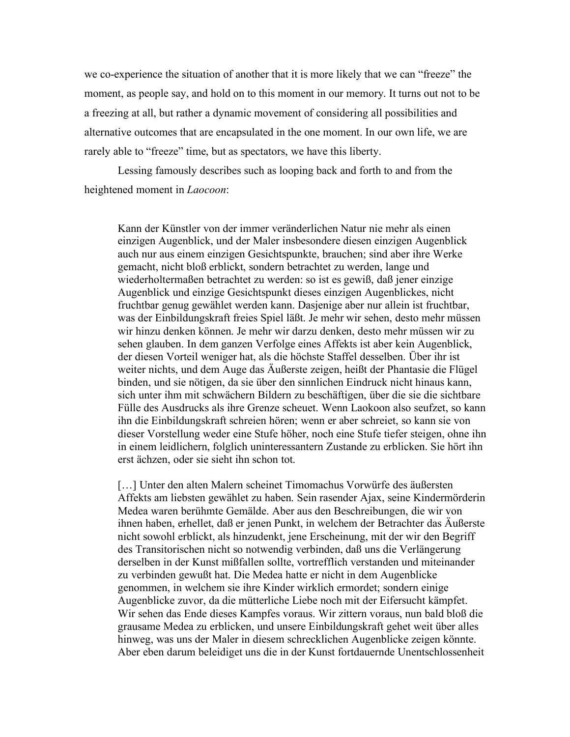we co-experience the situation of another that it is more likely that we can "freeze" the moment, as people say, and hold on to this moment in our memory. It turns out not to be a freezing at all, but rather a dynamic movement of considering all possibilities and alternative outcomes that are encapsulated in the one moment. In our own life, we are rarely able to "freeze" time, but as spectators, we have this liberty.

Lessing famously describes such as looping back and forth to and from the heightened moment in *Laocoon*:

Kann der Künstler von der immer veränderlichen Natur nie mehr als einen einzigen Augenblick, und der Maler insbesondere diesen einzigen Augenblick auch nur aus einem einzigen Gesichtspunkte, brauchen; sind aber ihre Werke gemacht, nicht bloß erblickt, sondern betrachtet zu werden, lange und wiederholtermaßen betrachtet zu werden: so ist es gewiß, daß jener einzige Augenblick und einzige Gesichtspunkt dieses einzigen Augenblickes, nicht fruchtbar genug gewählet werden kann. Dasjenige aber nur allein ist fruchtbar, was der Einbildungskraft freies Spiel läßt. Je mehr wir sehen, desto mehr müssen wir hinzu denken können. Je mehr wir darzu denken, desto mehr müssen wir zu sehen glauben. In dem ganzen Verfolge eines Affekts ist aber kein Augenblick, der diesen Vorteil weniger hat, als die höchste Staffel desselben. Über ihr ist weiter nichts, und dem Auge das Äußerste zeigen, heißt der Phantasie die Flügel binden, und sie nötigen, da sie über den sinnlichen Eindruck nicht hinaus kann, sich unter ihm mit schwächern Bildern zu beschäftigen, über die sie die sichtbare Fülle des Ausdrucks als ihre Grenze scheuet. Wenn Laokoon also seufzet, so kann ihn die Einbildungskraft schreien hören; wenn er aber schreiet, so kann sie von dieser Vorstellung weder eine Stufe höher, noch eine Stufe tiefer steigen, ohne ihn in einem leidlichern, folglich uninteressantern Zustande zu erblicken. Sie hört ihn erst ächzen, oder sie sieht ihn schon tot.

[...] Unter den alten Malern scheinet Timomachus Vorwürfe des äußersten Affekts am liebsten gewählet zu haben. Sein rasender Ajax, seine Kindermörderin Medea waren berühmte Gemälde. Aber aus den Beschreibungen, die wir von ihnen haben, erhellet, daß er jenen Punkt, in welchem der Betrachter das Äußerste nicht sowohl erblickt, als hinzudenkt, jene Erscheinung, mit der wir den Begriff des Transitorischen nicht so notwendig verbinden, daß uns die Verlängerung derselben in der Kunst mißfallen sollte, vortrefflich verstanden und miteinander zu verbinden gewußt hat. Die Medea hatte er nicht in dem Augenblicke genommen, in welchem sie ihre Kinder wirklich ermordet; sondern einige Augenblicke zuvor, da die mütterliche Liebe noch mit der Eifersucht kämpfet. Wir sehen das Ende dieses Kampfes voraus. Wir zittern voraus, nun bald bloß die grausame Medea zu erblicken, und unsere Einbildungskraft gehet weit über alles hinweg, was uns der Maler in diesem schrecklichen Augenblicke zeigen könnte. Aber eben darum beleidiget uns die in der Kunst fortdauernde Unentschlossenheit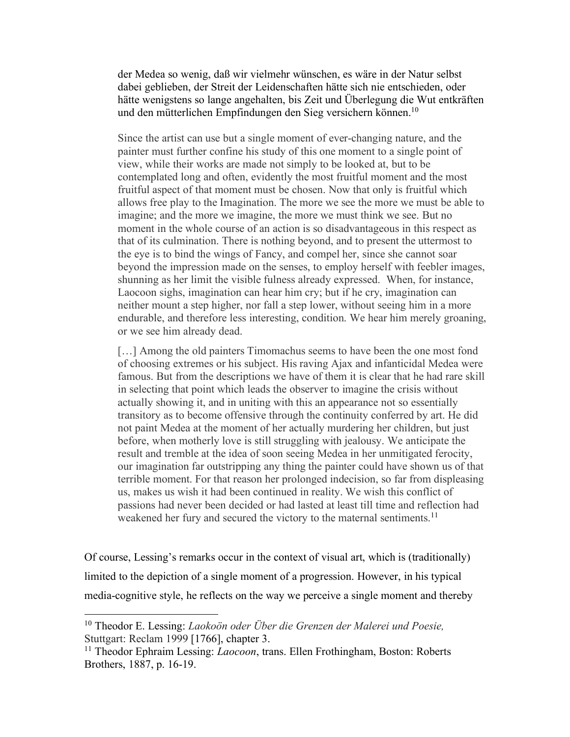der Medea so wenig, daß wir vielmehr wünschen, es wäre in der Natur selbst dabei geblieben, der Streit der Leidenschaften hätte sich nie entschieden, oder hätte wenigstens so lange angehalten, bis Zeit und Überlegung die Wut entkräften und den mütterlichen Empfindungen den Sieg versichern können.<sup>10</sup>

Since the artist can use but a single moment of ever-changing nature, and the painter must further confine his study of this one moment to a single point of view, while their works are made not simply to be looked at, but to be contemplated long and often, evidently the most fruitful moment and the most fruitful aspect of that moment must be chosen. Now that only is fruitful which allows free play to the Imagination. The more we see the more we must be able to imagine; and the more we imagine, the more we must think we see. But no moment in the whole course of an action is so disadvantageous in this respect as that of its culmination. There is nothing beyond, and to present the uttermost to the eye is to bind the wings of Fancy, and compel her, since she cannot soar beyond the impression made on the senses, to employ herself with feebler images, shunning as her limit the visible fulness already expressed. When, for instance, Laocoon sighs, imagination can hear him cry; but if he cry, imagination can neither mount a step higher, nor fall a step lower, without seeing him in a more endurable, and therefore less interesting, condition. We hear him merely groaning, or we see him already dead.

[...] Among the old painters Timomachus seems to have been the one most fond of choosing extremes or his subject. His raving Ajax and infanticidal Medea were famous. But from the descriptions we have of them it is clear that he had rare skill in selecting that point which leads the observer to imagine the crisis without actually showing it, and in uniting with this an appearance not so essentially transitory as to become offensive through the continuity conferred by art. He did not paint Medea at the moment of her actually murdering her children, but just before, when motherly love is still struggling with jealousy. We anticipate the result and tremble at the idea of soon seeing Medea in her unmitigated ferocity, our imagination far outstripping any thing the painter could have shown us of that terrible moment. For that reason her prolonged indecision, so far from displeasing us, makes us wish it had been continued in reality. We wish this conflict of passions had never been decided or had lasted at least till time and reflection had weakened her fury and secured the victory to the maternal sentiments.<sup>11</sup>

Of course, Lessing's remarks occur in the context of visual art, which is (traditionally) limited to the depiction of a single moment of a progression. However, in his typical media-cognitive style, he reflects on the way we perceive a single moment and thereby

<sup>10</sup> Theodor E. Lessing: *Laokoön oder Über die Grenzen der Malerei und Poesie,*  Stuttgart: Reclam 1999 [1766], chapter 3.

<sup>11</sup> Theodor Ephraim Lessing: *Laocoon*, trans. Ellen Frothingham, Boston: Roberts Brothers, 1887, p. 16-19.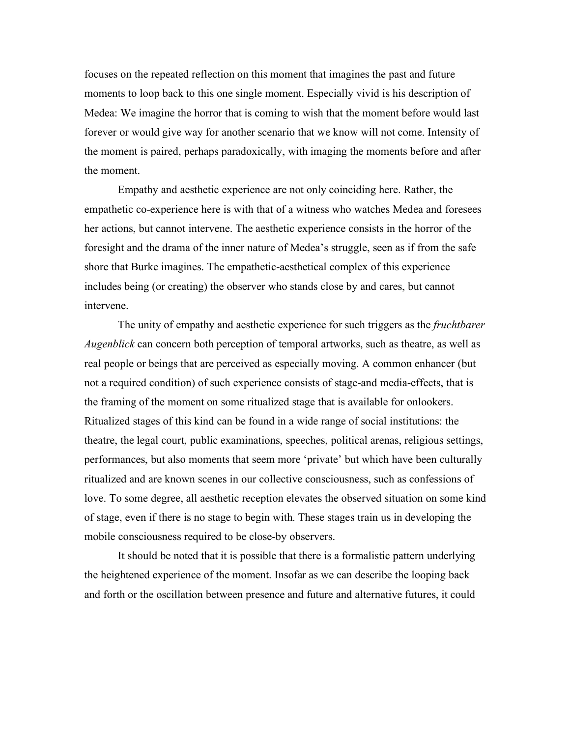focuses on the repeated reflection on this moment that imagines the past and future moments to loop back to this one single moment. Especially vivid is his description of Medea: We imagine the horror that is coming to wish that the moment before would last forever or would give way for another scenario that we know will not come. Intensity of the moment is paired, perhaps paradoxically, with imaging the moments before and after the moment.

Empathy and aesthetic experience are not only coinciding here. Rather, the empathetic co-experience here is with that of a witness who watches Medea and foresees her actions, but cannot intervene. The aesthetic experience consists in the horror of the foresight and the drama of the inner nature of Medea's struggle, seen as if from the safe shore that Burke imagines. The empathetic-aesthetical complex of this experience includes being (or creating) the observer who stands close by and cares, but cannot intervene.

The unity of empathy and aesthetic experience for such triggers as the *fruchtbarer Augenblick* can concern both perception of temporal artworks, such as theatre, as well as real people or beings that are perceived as especially moving. A common enhancer (but not a required condition) of such experience consists of stage-and media-effects, that is the framing of the moment on some ritualized stage that is available for onlookers. Ritualized stages of this kind can be found in a wide range of social institutions: the theatre, the legal court, public examinations, speeches, political arenas, religious settings, performances, but also moments that seem more 'private' but which have been culturally ritualized and are known scenes in our collective consciousness, such as confessions of love. To some degree, all aesthetic reception elevates the observed situation on some kind of stage, even if there is no stage to begin with. These stages train us in developing the mobile consciousness required to be close-by observers.

It should be noted that it is possible that there is a formalistic pattern underlying the heightened experience of the moment. Insofar as we can describe the looping back and forth or the oscillation between presence and future and alternative futures, it could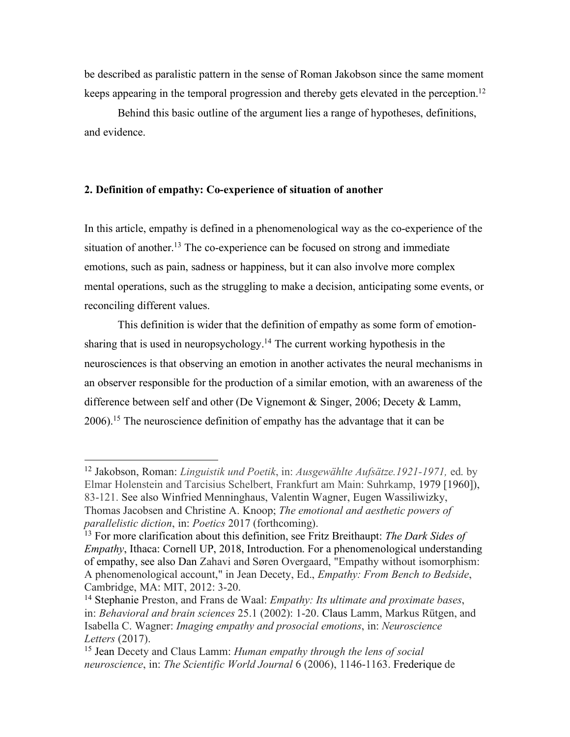be described as paralistic pattern in the sense of Roman Jakobson since the same moment keeps appearing in the temporal progression and thereby gets elevated in the perception.<sup>12</sup>

Behind this basic outline of the argument lies a range of hypotheses, definitions, and evidence.

## **2. Definition of empathy: Co-experience of situation of another**

 

In this article, empathy is defined in a phenomenological way as the co-experience of the situation of another.<sup>13</sup> The co-experience can be focused on strong and immediate emotions, such as pain, sadness or happiness, but it can also involve more complex mental operations, such as the struggling to make a decision, anticipating some events, or reconciling different values.

This definition is wider that the definition of empathy as some form of emotionsharing that is used in neuropsychology. <sup>14</sup> The current working hypothesis in the neurosciences is that observing an emotion in another activates the neural mechanisms in an observer responsible for the production of a similar emotion, with an awareness of the difference between self and other (De Vignemont & Singer, 2006; Decety & Lamm, 2006).15 The neuroscience definition of empathy has the advantage that it can be

<sup>12</sup> Jakobson, Roman: *Linguistik und Poetik*, in: *Ausgewählte Aufsätze.1921-1971,* ed. by Elmar Holenstein and Tarcisius Schelbert, Frankfurt am Main: Suhrkamp, 1979 [1960]), 83-121. See also Winfried Menninghaus, Valentin Wagner, Eugen Wassiliwizky, Thomas Jacobsen and Christine A. Knoop; *The emotional and aesthetic powers of parallelistic diction*, in: *Poetics* 2017 (forthcoming).

<sup>13</sup> For more clarification about this definition, see Fritz Breithaupt: *The Dark Sides of Empathy*, Ithaca: Cornell UP, 2018, Introduction. For a phenomenological understanding of empathy, see also Dan Zahavi and Søren Overgaard, "Empathy without isomorphism: A phenomenological account," in Jean Decety, Ed., *Empathy: From Bench to Bedside*, Cambridge, MA: MIT, 2012: 3-20.

<sup>14</sup> Stephanie Preston, and Frans de Waal: *Empathy: Its ultimate and proximate bases*, in: *Behavioral and brain sciences* 25.1 (2002): 1-20. Claus Lamm, Markus Rütgen, and Isabella C. Wagner: *Imaging empathy and prosocial emotions*, in: *Neuroscience Letters* (2017).

<sup>15</sup> Jean Decety and Claus Lamm: *Human empathy through the lens of social neuroscience*, in: *The Scientific World Journal* 6 (2006), 1146-1163. Frederique de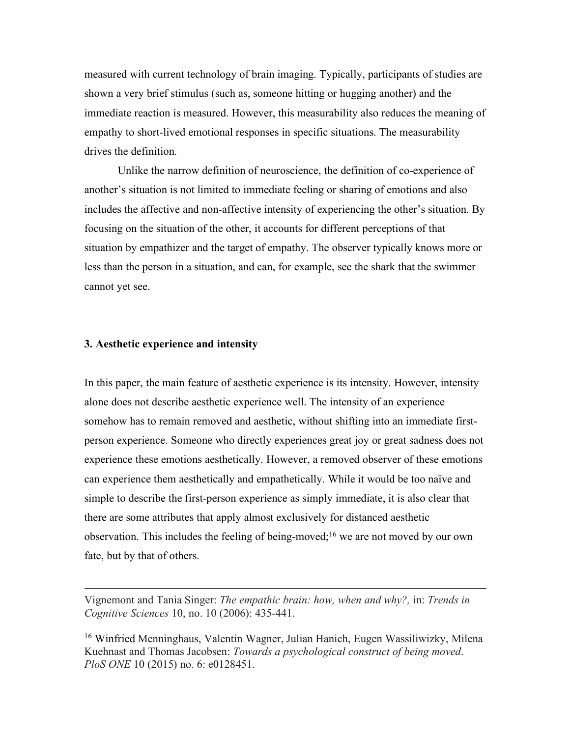measured with current technology of brain imaging. Typically, participants of studies are shown a very brief stimulus (such as, someone hitting or hugging another) and the immediate reaction is measured. However, this measurability also reduces the meaning of empathy to short-lived emotional responses in specific situations. The measurability drives the definition.

Unlike the narrow definition of neuroscience, the definition of co-experience of another's situation is not limited to immediate feeling or sharing of emotions and also includes the affective and non-affective intensity of experiencing the other's situation. By focusing on the situation of the other, it accounts for different perceptions of that situation by empathizer and the target of empathy. The observer typically knows more or less than the person in a situation, and can, for example, see the shark that the swimmer cannot yet see.

#### **3. Aesthetic experience and intensity**

In this paper, the main feature of aesthetic experience is its intensity. However, intensity alone does not describe aesthetic experience well. The intensity of an experience somehow has to remain removed and aesthetic, without shifting into an immediate firstperson experience. Someone who directly experiences great joy or great sadness does not experience these emotions aesthetically. However, a removed observer of these emotions can experience them aesthetically and empathetically. While it would be too naïve and simple to describe the first-person experience as simply immediate, it is also clear that there are some attributes that apply almost exclusively for distanced aesthetic observation. This includes the feeling of being-moved;16 we are not moved by our own fate, but by that of others.

<u> 1989 - Johann Barbert, fransk politik (d. 1989)</u>

Vignemont and Tania Singer: *The empathic brain: how, when and why?,* in: *Trends in Cognitive Sciences* 10, no. 10 (2006): 435-441.

<sup>16</sup> Winfried Menninghaus, Valentin Wagner, Julian Hanich, Eugen Wassiliwizky, Milena Kuehnast and Thomas Jacobsen: *Towards a psychological construct of being moved*. *PloS ONE* 10 (2015) no. 6: e0128451.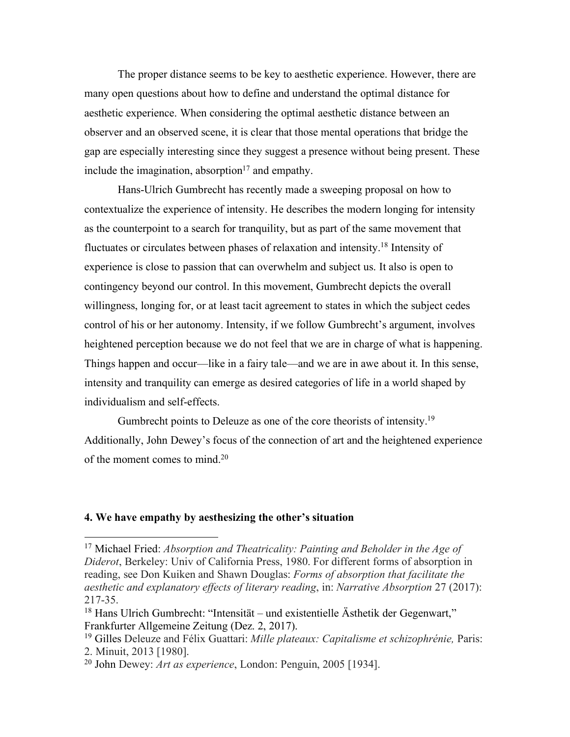The proper distance seems to be key to aesthetic experience. However, there are many open questions about how to define and understand the optimal distance for aesthetic experience. When considering the optimal aesthetic distance between an observer and an observed scene, it is clear that those mental operations that bridge the gap are especially interesting since they suggest a presence without being present. These include the imagination, absorption $17$  and empathy.

Hans-Ulrich Gumbrecht has recently made a sweeping proposal on how to contextualize the experience of intensity. He describes the modern longing for intensity as the counterpoint to a search for tranquility, but as part of the same movement that fluctuates or circulates between phases of relaxation and intensity. <sup>18</sup> Intensity of experience is close to passion that can overwhelm and subject us. It also is open to contingency beyond our control. In this movement, Gumbrecht depicts the overall willingness, longing for, or at least tacit agreement to states in which the subject cedes control of his or her autonomy. Intensity, if we follow Gumbrecht's argument, involves heightened perception because we do not feel that we are in charge of what is happening. Things happen and occur—like in a fairy tale—and we are in awe about it. In this sense, intensity and tranquility can emerge as desired categories of life in a world shaped by individualism and self-effects.

Gumbrecht points to Deleuze as one of the core theorists of intensity.19 Additionally, John Dewey's focus of the connection of art and the heightened experience of the moment comes to mind.20

## **4. We have empathy by aesthesizing the other's situation**

<sup>17</sup> Michael Fried: *Absorption and Theatricality: Painting and Beholder in the Age of Diderot*, Berkeley: Univ of California Press, 1980. For different forms of absorption in reading, see Don Kuiken and Shawn Douglas: *Forms of absorption that facilitate the aesthetic and explanatory effects of literary reading*, in: *Narrative Absorption* 27 (2017): 217-35.

<sup>18</sup> Hans Ulrich Gumbrecht: "Intensität – und existentielle Ästhetik der Gegenwart," Frankfurter Allgemeine Zeitung (Dez. 2, 2017).

<sup>19</sup> Gilles Deleuze and Félix Guattari: *Mille plateaux: Capitalisme et schizophrénie,* Paris: 2. Minuit, 2013 [1980].

<sup>20</sup> John Dewey: *Art as experience*, London: Penguin, 2005 [1934].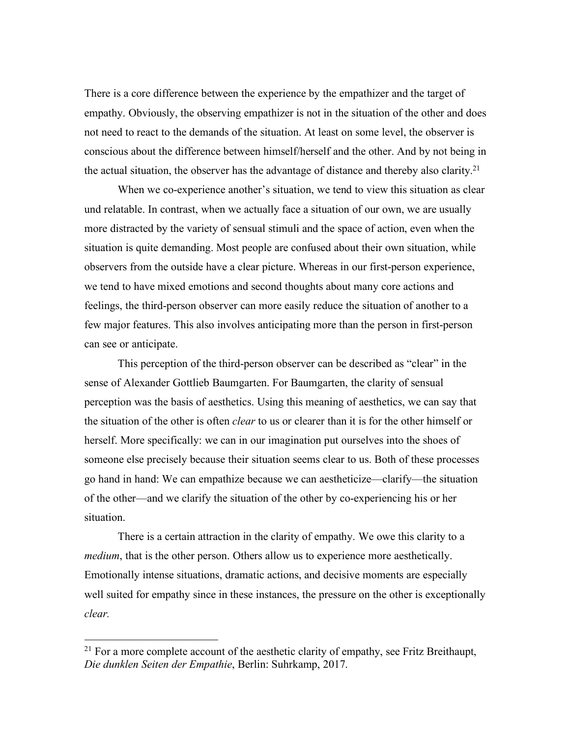There is a core difference between the experience by the empathizer and the target of empathy. Obviously, the observing empathizer is not in the situation of the other and does not need to react to the demands of the situation. At least on some level, the observer is conscious about the difference between himself/herself and the other. And by not being in the actual situation, the observer has the advantage of distance and thereby also clarity.21

When we co-experience another's situation, we tend to view this situation as clear und relatable. In contrast, when we actually face a situation of our own, we are usually more distracted by the variety of sensual stimuli and the space of action, even when the situation is quite demanding. Most people are confused about their own situation, while observers from the outside have a clear picture. Whereas in our first-person experience, we tend to have mixed emotions and second thoughts about many core actions and feelings, the third-person observer can more easily reduce the situation of another to a few major features. This also involves anticipating more than the person in first-person can see or anticipate.

This perception of the third-person observer can be described as "clear" in the sense of Alexander Gottlieb Baumgarten. For Baumgarten, the clarity of sensual perception was the basis of aesthetics. Using this meaning of aesthetics, we can say that the situation of the other is often *clear* to us or clearer than it is for the other himself or herself. More specifically: we can in our imagination put ourselves into the shoes of someone else precisely because their situation seems clear to us. Both of these processes go hand in hand: We can empathize because we can aestheticize—clarify—the situation of the other—and we clarify the situation of the other by co-experiencing his or her situation.

There is a certain attraction in the clarity of empathy. We owe this clarity to a *medium*, that is the other person. Others allow us to experience more aesthetically. Emotionally intense situations, dramatic actions, and decisive moments are especially well suited for empathy since in these instances, the pressure on the other is exceptionally *clear.*

<sup>&</sup>lt;sup>21</sup> For a more complete account of the aesthetic clarity of empathy, see Fritz Breithaupt, *Die dunklen Seiten der Empathie*, Berlin: Suhrkamp, 2017.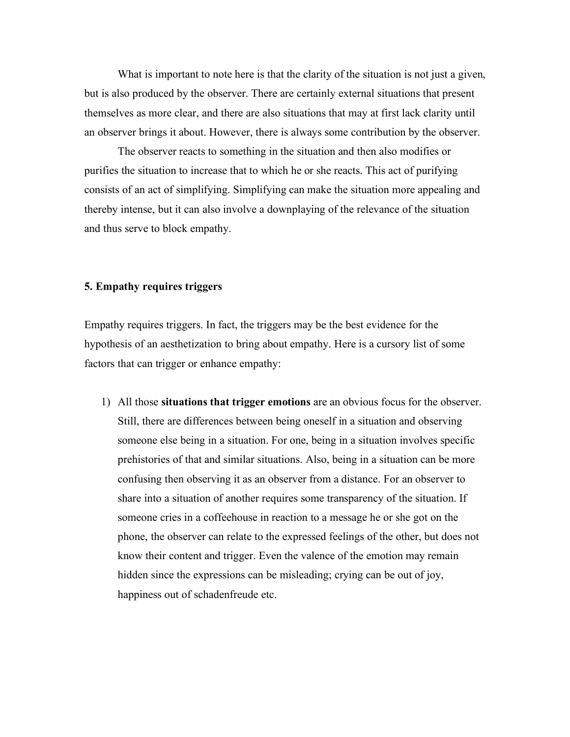What is important to note here is that the clarity of the situation is not just a given, but is also produced by the observer. There are certainly external situations that present themselves as more clear, and there are also situations that may at first lack clarity until an observer brings it about. However, there is always some contribution by the observer.

The observer reacts to something in the situation and then also modifies or purifies the situation to increase that to which he or she reacts. This act of purifying consists of an act of simplifying. Simplifying can make the situation more appealing and thereby intense, but it can also involve a downplaying of the relevance of the situation and thus serve to block empathy.

## **5. Empathy requires triggers**

Empathy requires triggers. In fact, the triggers may be the best evidence for the hypothesis of an aesthetization to bring about empathy. Here is a cursory list of some factors that can trigger or enhance empathy:

1) All those **situations that trigger emotions** are an obvious focus for the observer. Still, there are differences between being oneself in a situation and observing someone else being in a situation. For one, being in a situation involves specific prehistories of that and similar situations. Also, being in a situation can be more confusing then observing it as an observer from a distance. For an observer to share into a situation of another requires some transparency of the situation. If someone cries in a coffeehouse in reaction to a message he or she got on the phone, the observer can relate to the expressed feelings of the other, but does not know their content and trigger. Even the valence of the emotion may remain hidden since the expressions can be misleading; crying can be out of joy, happiness out of schadenfreude etc.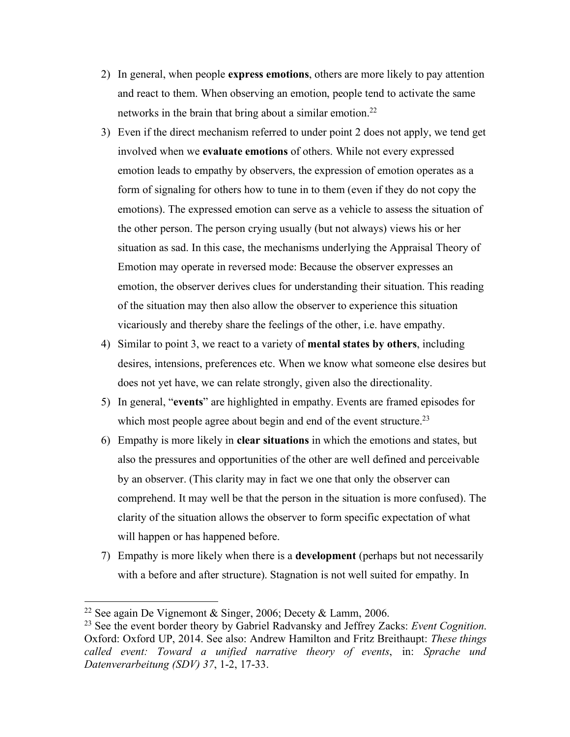- 2) In general, when people **express emotions**, others are more likely to pay attention and react to them. When observing an emotion, people tend to activate the same networks in the brain that bring about a similar emotion.<sup>22</sup>
- 3) Even if the direct mechanism referred to under point 2 does not apply, we tend get involved when we **evaluate emotions** of others. While not every expressed emotion leads to empathy by observers, the expression of emotion operates as a form of signaling for others how to tune in to them (even if they do not copy the emotions). The expressed emotion can serve as a vehicle to assess the situation of the other person. The person crying usually (but not always) views his or her situation as sad. In this case, the mechanisms underlying the Appraisal Theory of Emotion may operate in reversed mode: Because the observer expresses an emotion, the observer derives clues for understanding their situation. This reading of the situation may then also allow the observer to experience this situation vicariously and thereby share the feelings of the other, i.e. have empathy.
- 4) Similar to point 3, we react to a variety of **mental states by others**, including desires, intensions, preferences etc. When we know what someone else desires but does not yet have, we can relate strongly, given also the directionality.
- 5) In general, "**events**" are highlighted in empathy. Events are framed episodes for which most people agree about begin and end of the event structure.<sup>23</sup>
- 6) Empathy is more likely in **clear situations** in which the emotions and states, but also the pressures and opportunities of the other are well defined and perceivable by an observer. (This clarity may in fact we one that only the observer can comprehend. It may well be that the person in the situation is more confused). The clarity of the situation allows the observer to form specific expectation of what will happen or has happened before.
- 7) Empathy is more likely when there is a **development** (perhaps but not necessarily with a before and after structure). Stagnation is not well suited for empathy. In

<sup>&</sup>lt;sup>22</sup> See again De Vignemont & Singer, 2006; Decety & Lamm, 2006.

<sup>23</sup> See the event border theory by Gabriel Radvansky and Jeffrey Zacks: *Event Cognition*. Oxford: Oxford UP, 2014. See also: Andrew Hamilton and Fritz Breithaupt: *These things called event: Toward a unified narrative theory of events*, in: *Sprache und Datenverarbeitung (SDV) 37*, 1-2, 17-33.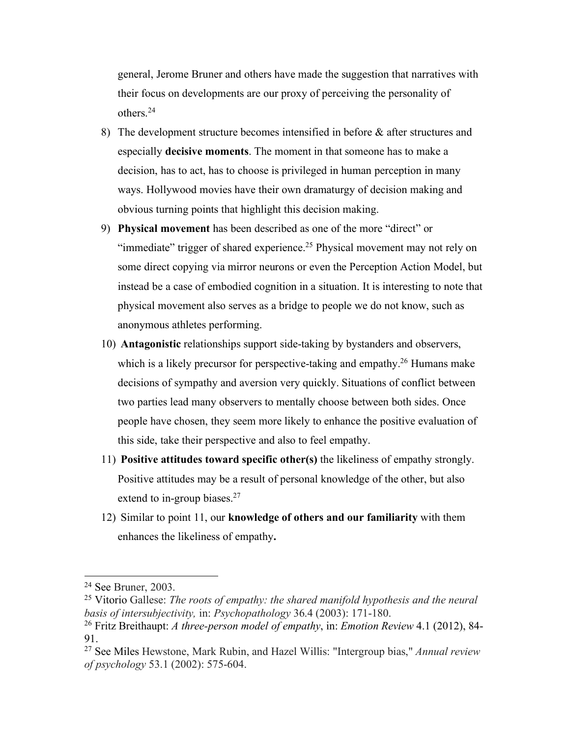general, Jerome Bruner and others have made the suggestion that narratives with their focus on developments are our proxy of perceiving the personality of others.24

- 8) The development structure becomes intensified in before & after structures and especially **decisive moments**. The moment in that someone has to make a decision, has to act, has to choose is privileged in human perception in many ways. Hollywood movies have their own dramaturgy of decision making and obvious turning points that highlight this decision making.
- 9) **Physical movement** has been described as one of the more "direct" or "immediate" trigger of shared experience.<sup>25</sup> Physical movement may not rely on some direct copying via mirror neurons or even the Perception Action Model, but instead be a case of embodied cognition in a situation. It is interesting to note that physical movement also serves as a bridge to people we do not know, such as anonymous athletes performing.
- 10) **Antagonistic** relationships support side-taking by bystanders and observers, which is a likely precursor for perspective-taking and empathy.<sup>26</sup> Humans make decisions of sympathy and aversion very quickly. Situations of conflict between two parties lead many observers to mentally choose between both sides. Once people have chosen, they seem more likely to enhance the positive evaluation of this side, take their perspective and also to feel empathy.
- 11) **Positive attitudes toward specific other(s)** the likeliness of empathy strongly. Positive attitudes may be a result of personal knowledge of the other, but also extend to in-group biases.<sup>27</sup>
- 12) Similar to point 11, our **knowledge of others and our familiarity** with them enhances the likeliness of empathy**.**

<sup>24</sup> See Bruner, 2003.

<sup>25</sup> Vitorio Gallese: *The roots of empathy: the shared manifold hypothesis and the neural basis of intersubjectivity,* in: *Psychopathology* 36.4 (2003): 171-180.

<sup>26</sup> Fritz Breithaupt: *A three-person model of empathy*, in: *Emotion Review* 4.1 (2012), 84- 91.

<sup>27</sup> See Miles Hewstone, Mark Rubin, and Hazel Willis: "Intergroup bias," *Annual review of psychology* 53.1 (2002): 575-604.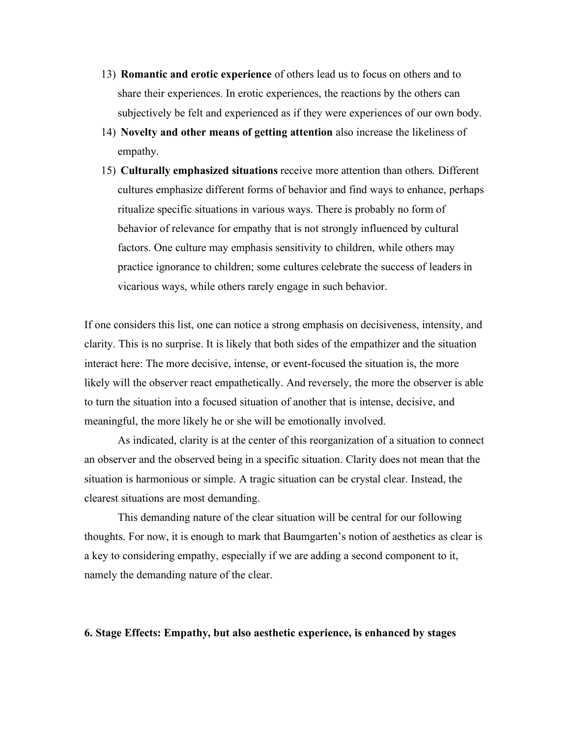- 13) **Romantic and erotic experience** of others lead us to focus on others and to share their experiences. In erotic experiences, the reactions by the others can subjectively be felt and experienced as if they were experiences of our own body.
- 14) **Novelty and other means of getting attention** also increase the likeliness of empathy.
- 15) **Culturally emphasized situations** receive more attention than others. Different cultures emphasize different forms of behavior and find ways to enhance, perhaps ritualize specific situations in various ways. There is probably no form of behavior of relevance for empathy that is not strongly influenced by cultural factors. One culture may emphasis sensitivity to children, while others may practice ignorance to children; some cultures celebrate the success of leaders in vicarious ways, while others rarely engage in such behavior.

If one considers this list, one can notice a strong emphasis on decisiveness, intensity, and clarity. This is no surprise. It is likely that both sides of the empathizer and the situation interact here: The more decisive, intense, or event-focused the situation is, the more likely will the observer react empathetically. And reversely, the more the observer is able to turn the situation into a focused situation of another that is intense, decisive, and meaningful, the more likely he or she will be emotionally involved.

As indicated, clarity is at the center of this reorganization of a situation to connect an observer and the observed being in a specific situation. Clarity does not mean that the situation is harmonious or simple. A tragic situation can be crystal clear. Instead, the clearest situations are most demanding.

This demanding nature of the clear situation will be central for our following thoughts. For now, it is enough to mark that Baumgarten's notion of aesthetics as clear is a key to considering empathy, especially if we are adding a second component to it, namely the demanding nature of the clear.

## **6. Stage Effects: Empathy, but also aesthetic experience, is enhanced by stages**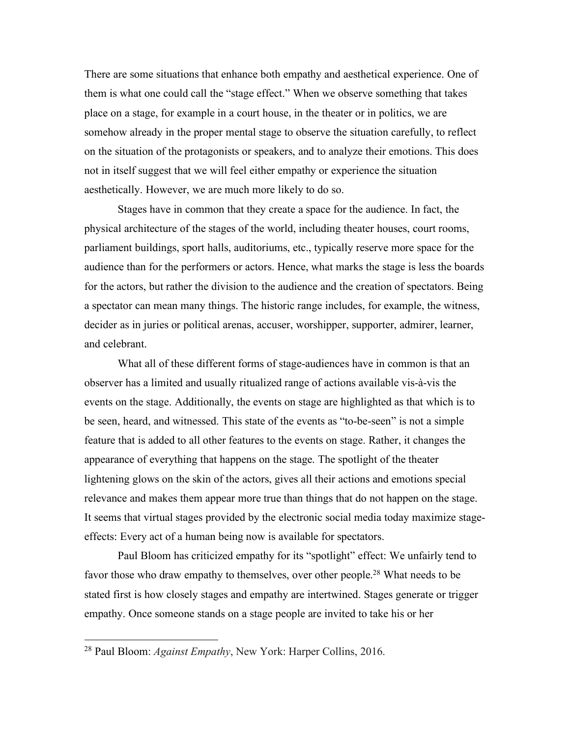There are some situations that enhance both empathy and aesthetical experience. One of them is what one could call the "stage effect." When we observe something that takes place on a stage, for example in a court house, in the theater or in politics, we are somehow already in the proper mental stage to observe the situation carefully, to reflect on the situation of the protagonists or speakers, and to analyze their emotions. This does not in itself suggest that we will feel either empathy or experience the situation aesthetically. However, we are much more likely to do so.

Stages have in common that they create a space for the audience. In fact, the physical architecture of the stages of the world, including theater houses, court rooms, parliament buildings, sport halls, auditoriums, etc., typically reserve more space for the audience than for the performers or actors. Hence, what marks the stage is less the boards for the actors, but rather the division to the audience and the creation of spectators. Being a spectator can mean many things. The historic range includes, for example, the witness, decider as in juries or political arenas, accuser, worshipper, supporter, admirer, learner, and celebrant.

What all of these different forms of stage-audiences have in common is that an observer has a limited and usually ritualized range of actions available vis-à-vis the events on the stage. Additionally, the events on stage are highlighted as that which is to be seen, heard, and witnessed. This state of the events as "to-be-seen" is not a simple feature that is added to all other features to the events on stage. Rather, it changes the appearance of everything that happens on the stage. The spotlight of the theater lightening glows on the skin of the actors, gives all their actions and emotions special relevance and makes them appear more true than things that do not happen on the stage. It seems that virtual stages provided by the electronic social media today maximize stageeffects: Every act of a human being now is available for spectators.

Paul Bloom has criticized empathy for its "spotlight" effect: We unfairly tend to favor those who draw empathy to themselves, over other people.<sup>28</sup> What needs to be stated first is how closely stages and empathy are intertwined. Stages generate or trigger empathy. Once someone stands on a stage people are invited to take his or her

<sup>28</sup> Paul Bloom: *Against Empathy*, New York: Harper Collins, 2016.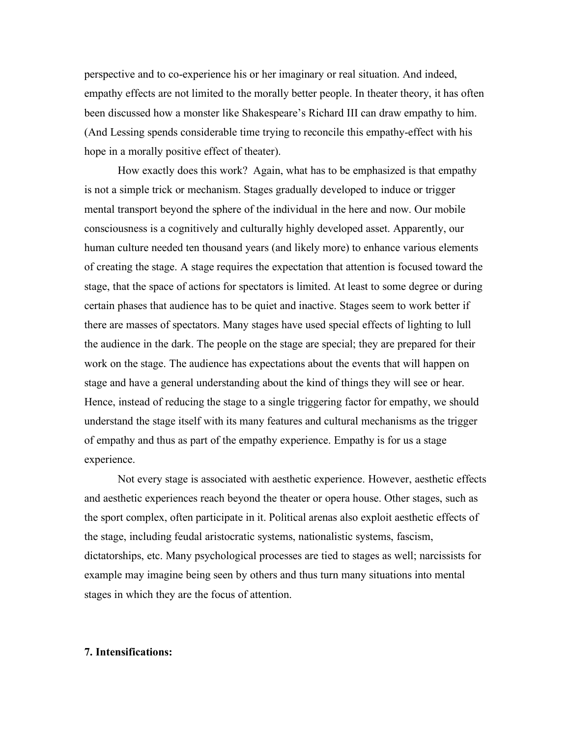perspective and to co-experience his or her imaginary or real situation. And indeed, empathy effects are not limited to the morally better people. In theater theory, it has often been discussed how a monster like Shakespeare's Richard III can draw empathy to him. (And Lessing spends considerable time trying to reconcile this empathy-effect with his hope in a morally positive effect of theater).

How exactly does this work? Again, what has to be emphasized is that empathy is not a simple trick or mechanism. Stages gradually developed to induce or trigger mental transport beyond the sphere of the individual in the here and now. Our mobile consciousness is a cognitively and culturally highly developed asset. Apparently, our human culture needed ten thousand years (and likely more) to enhance various elements of creating the stage. A stage requires the expectation that attention is focused toward the stage, that the space of actions for spectators is limited. At least to some degree or during certain phases that audience has to be quiet and inactive. Stages seem to work better if there are masses of spectators. Many stages have used special effects of lighting to lull the audience in the dark. The people on the stage are special; they are prepared for their work on the stage. The audience has expectations about the events that will happen on stage and have a general understanding about the kind of things they will see or hear. Hence, instead of reducing the stage to a single triggering factor for empathy, we should understand the stage itself with its many features and cultural mechanisms as the trigger of empathy and thus as part of the empathy experience. Empathy is for us a stage experience.

Not every stage is associated with aesthetic experience. However, aesthetic effects and aesthetic experiences reach beyond the theater or opera house. Other stages, such as the sport complex, often participate in it. Political arenas also exploit aesthetic effects of the stage, including feudal aristocratic systems, nationalistic systems, fascism, dictatorships, etc. Many psychological processes are tied to stages as well; narcissists for example may imagine being seen by others and thus turn many situations into mental stages in which they are the focus of attention.

# **7. Intensifications:**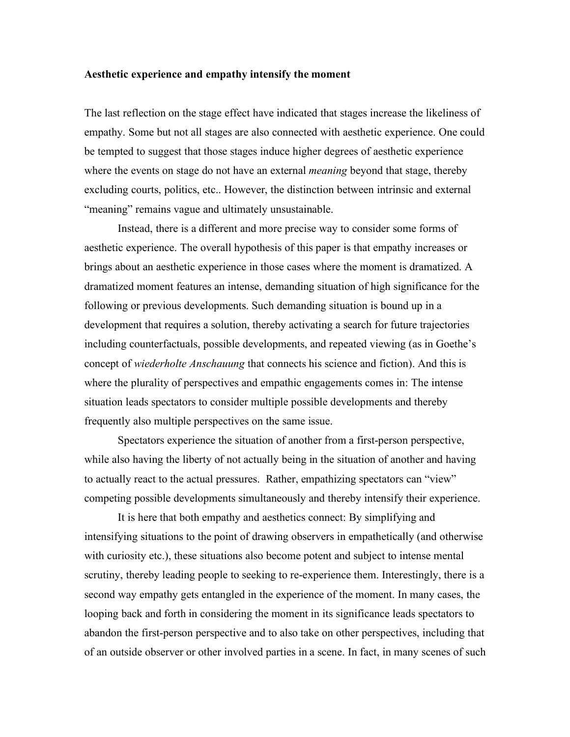#### **Aesthetic experience and empathy intensify the moment**

The last reflection on the stage effect have indicated that stages increase the likeliness of empathy. Some but not all stages are also connected with aesthetic experience. One could be tempted to suggest that those stages induce higher degrees of aesthetic experience where the events on stage do not have an external *meaning* beyond that stage, thereby excluding courts, politics, etc.. However, the distinction between intrinsic and external "meaning" remains vague and ultimately unsustainable.

Instead, there is a different and more precise way to consider some forms of aesthetic experience. The overall hypothesis of this paper is that empathy increases or brings about an aesthetic experience in those cases where the moment is dramatized. A dramatized moment features an intense, demanding situation of high significance for the following or previous developments. Such demanding situation is bound up in a development that requires a solution, thereby activating a search for future trajectories including counterfactuals, possible developments, and repeated viewing (as in Goethe's concept of *wiederholte Anschauung* that connects his science and fiction). And this is where the plurality of perspectives and empathic engagements comes in: The intense situation leads spectators to consider multiple possible developments and thereby frequently also multiple perspectives on the same issue.

Spectators experience the situation of another from a first-person perspective, while also having the liberty of not actually being in the situation of another and having to actually react to the actual pressures. Rather, empathizing spectators can "view" competing possible developments simultaneously and thereby intensify their experience.

It is here that both empathy and aesthetics connect: By simplifying and intensifying situations to the point of drawing observers in empathetically (and otherwise with curiosity etc.), these situations also become potent and subject to intense mental scrutiny, thereby leading people to seeking to re-experience them. Interestingly, there is a second way empathy gets entangled in the experience of the moment. In many cases, the looping back and forth in considering the moment in its significance leads spectators to abandon the first-person perspective and to also take on other perspectives, including that of an outside observer or other involved parties in a scene. In fact, in many scenes of such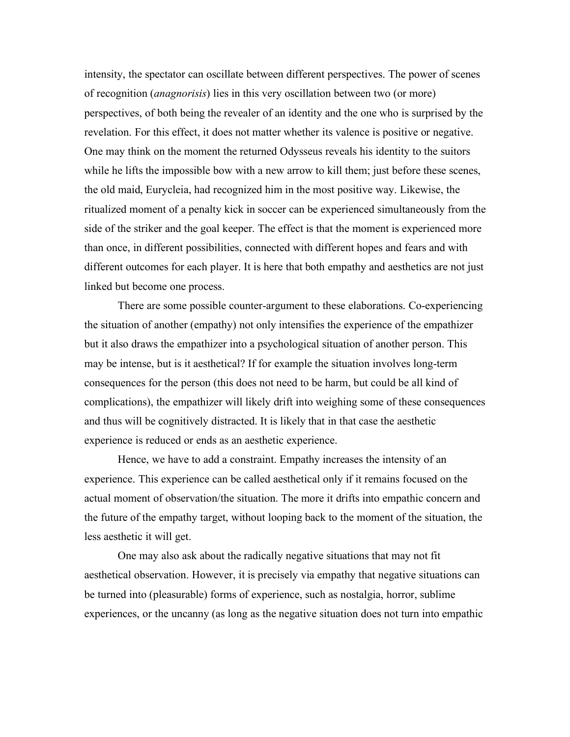intensity, the spectator can oscillate between different perspectives. The power of scenes of recognition (*anagnorisis*) lies in this very oscillation between two (or more) perspectives, of both being the revealer of an identity and the one who is surprised by the revelation. For this effect, it does not matter whether its valence is positive or negative. One may think on the moment the returned Odysseus reveals his identity to the suitors while he lifts the impossible bow with a new arrow to kill them; just before these scenes, the old maid, Eurycleia, had recognized him in the most positive way. Likewise, the ritualized moment of a penalty kick in soccer can be experienced simultaneously from the side of the striker and the goal keeper. The effect is that the moment is experienced more than once, in different possibilities, connected with different hopes and fears and with different outcomes for each player. It is here that both empathy and aesthetics are not just linked but become one process.

There are some possible counter-argument to these elaborations. Co-experiencing the situation of another (empathy) not only intensifies the experience of the empathizer but it also draws the empathizer into a psychological situation of another person. This may be intense, but is it aesthetical? If for example the situation involves long-term consequences for the person (this does not need to be harm, but could be all kind of complications), the empathizer will likely drift into weighing some of these consequences and thus will be cognitively distracted. It is likely that in that case the aesthetic experience is reduced or ends as an aesthetic experience.

Hence, we have to add a constraint. Empathy increases the intensity of an experience. This experience can be called aesthetical only if it remains focused on the actual moment of observation/the situation. The more it drifts into empathic concern and the future of the empathy target, without looping back to the moment of the situation, the less aesthetic it will get.

One may also ask about the radically negative situations that may not fit aesthetical observation. However, it is precisely via empathy that negative situations can be turned into (pleasurable) forms of experience, such as nostalgia, horror, sublime experiences, or the uncanny (as long as the negative situation does not turn into empathic